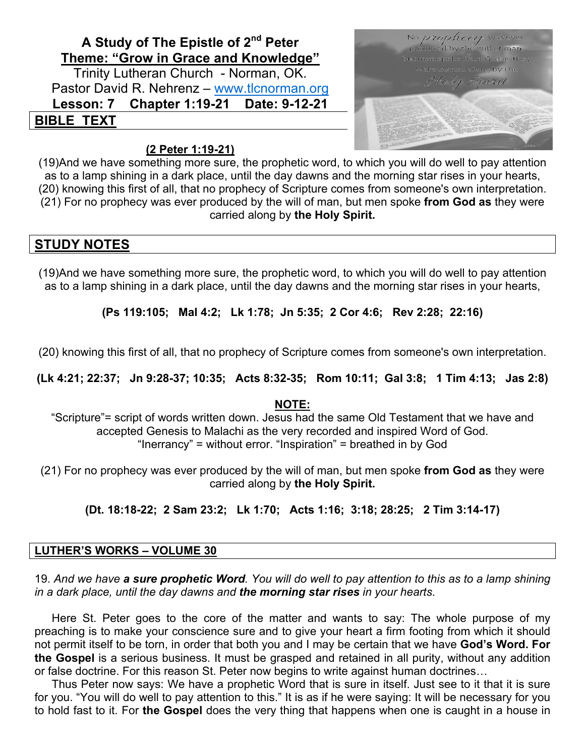## **A Study of The Epistle of 2nd Peter Theme: "Grow in Grace and Knowledge"**

Trinity Lutheran Church - Norman, OK. Pastor David R. Nehrenz – www.tlcnorman.org **Lesson: 7 Chapter 1:19-21 Date: 9-12-21 BIBLE TEXT**

# No *prophecy* wasever produced by the will of man, but men spoke from God as they were carried along by the Hole, Spirit

#### **(2 Peter 1:19-21)**

(19)And we have something more sure, the prophetic word, to which you will do well to pay attention as to a lamp shining in a dark place, until the day dawns and the morning star rises in your hearts, (20) knowing this first of all, that no prophecy of Scripture comes from someone's own interpretation. (21) For no prophecy was ever produced by the will of man, but men spoke **from God as** they were carried along by **the Holy Spirit.**

#### **STUDY NOTES**

(19)And we have something more sure, the prophetic word, to which you will do well to pay attention as to a lamp shining in a dark place, until the day dawns and the morning star rises in your hearts,

**(Ps 119:105; Mal 4:2; Lk 1:78; Jn 5:35; 2 Cor 4:6; Rev 2:28; 22:16)**

(20) knowing this first of all, that no prophecy of Scripture comes from someone's own interpretation.

**(Lk 4:21; 22:37; Jn 9:28-37; 10:35; Acts 8:32-35; Rom 10:11; Gal 3:8; 1 Tim 4:13; Jas 2:8)**

#### **NOTE:**

"Scripture"= script of words written down. Jesus had the same Old Testament that we have and accepted Genesis to Malachi as the very recorded and inspired Word of God. "Inerrancy" = without error. "Inspiration" = breathed in by God

(21) For no prophecy was ever produced by the will of man, but men spoke **from God as** they were carried along by **the Holy Spirit.**

**(Dt. 18:18-22; 2 Sam 23:2; Lk 1:70; Acts 1:16; 3:18; 28:25; 2 Tim 3:14-17)**

#### **LUTHER'S WORKS – VOLUME 30**

19. *And we have a sure prophetic Word. You will do well to pay attention to this as to a lamp shining in a dark place, until the day dawns and the morning star rises in your hearts*.

Here St. Peter goes to the core of the matter and wants to say: The whole purpose of my preaching is to make your conscience sure and to give your heart a firm footing from which it should not permit itself to be torn, in order that both you and I may be certain that we have **God's Word. For the Gospel** is a serious business. It must be grasped and retained in all purity, without any addition or false doctrine. For this reason St. Peter now begins to write against human doctrines…

Thus Peter now says: We have a prophetic Word that is sure in itself. Just see to it that it is sure for you. "You will do well to pay attention to this." It is as if he were saying: It will be necessary for you to hold fast to it. For **the Gospel** does the very thing that happens when one is caught in a house in